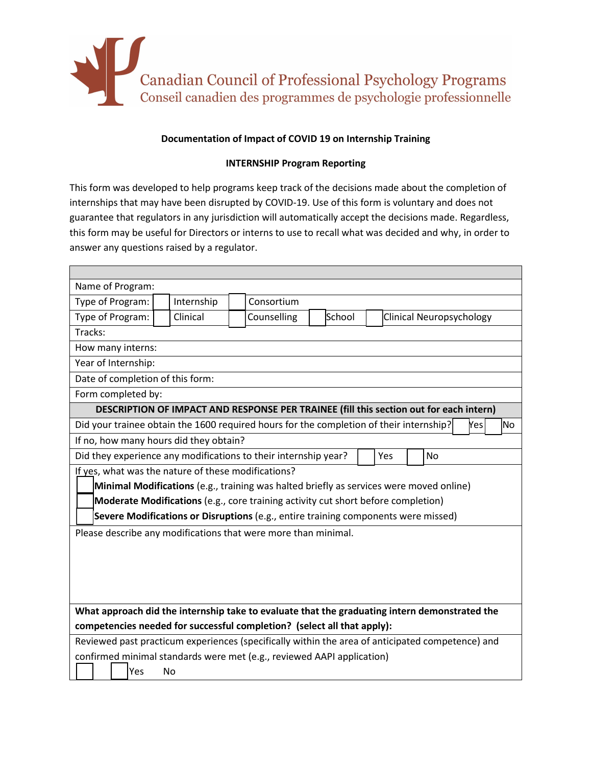

## **Documentation of Impact of COVID 19 on Internship Training**

## **INTERNSHIP Program Reporting**

This form was developed to help programs keep track of the decisions made about the completion of internships that may have been disrupted by COVID-19. Use of this form is voluntary and does not guarantee that regulators in any jurisdiction will automatically accept the decisions made. Regardless, this form may be useful for Directors or interns to use to recall what was decided and why, in order to answer any questions raised by a regulator.

| Name of Program:                                                                                 |                                              |  |                                                     |  |                                                                                               |        |  |                          |  |  |  |     |     |
|--------------------------------------------------------------------------------------------------|----------------------------------------------|--|-----------------------------------------------------|--|-----------------------------------------------------------------------------------------------|--------|--|--------------------------|--|--|--|-----|-----|
|                                                                                                  | Consortium<br>Type of Program:<br>Internship |  |                                                     |  |                                                                                               |        |  |                          |  |  |  |     |     |
| Type of Program:                                                                                 |                                              |  | Clinical                                            |  | Counselling                                                                                   | School |  | Clinical Neuropsychology |  |  |  |     |     |
| Tracks:                                                                                          |                                              |  |                                                     |  |                                                                                               |        |  |                          |  |  |  |     |     |
| How many interns:                                                                                |                                              |  |                                                     |  |                                                                                               |        |  |                          |  |  |  |     |     |
| Year of Internship:                                                                              |                                              |  |                                                     |  |                                                                                               |        |  |                          |  |  |  |     |     |
| Date of completion of this form:                                                                 |                                              |  |                                                     |  |                                                                                               |        |  |                          |  |  |  |     |     |
| Form completed by:                                                                               |                                              |  |                                                     |  |                                                                                               |        |  |                          |  |  |  |     |     |
|                                                                                                  |                                              |  |                                                     |  | DESCRIPTION OF IMPACT AND RESPONSE PER TRAINEE (fill this section out for each intern)        |        |  |                          |  |  |  |     |     |
|                                                                                                  |                                              |  |                                                     |  | Did your trainee obtain the 1600 required hours for the completion of their internship?       |        |  |                          |  |  |  | Yes | No. |
|                                                                                                  |                                              |  | If no, how many hours did they obtain?              |  |                                                                                               |        |  |                          |  |  |  |     |     |
| Did they experience any modifications to their internship year?<br><b>No</b><br>Yes              |                                              |  |                                                     |  |                                                                                               |        |  |                          |  |  |  |     |     |
|                                                                                                  |                                              |  | If yes, what was the nature of these modifications? |  |                                                                                               |        |  |                          |  |  |  |     |     |
|                                                                                                  |                                              |  |                                                     |  | Minimal Modifications (e.g., training was halted briefly as services were moved online)       |        |  |                          |  |  |  |     |     |
|                                                                                                  |                                              |  |                                                     |  | Moderate Modifications (e.g., core training activity cut short before completion)             |        |  |                          |  |  |  |     |     |
| Severe Modifications or Disruptions (e.g., entire training components were missed)               |                                              |  |                                                     |  |                                                                                               |        |  |                          |  |  |  |     |     |
|                                                                                                  |                                              |  |                                                     |  | Please describe any modifications that were more than minimal.                                |        |  |                          |  |  |  |     |     |
|                                                                                                  |                                              |  |                                                     |  |                                                                                               |        |  |                          |  |  |  |     |     |
|                                                                                                  |                                              |  |                                                     |  |                                                                                               |        |  |                          |  |  |  |     |     |
|                                                                                                  |                                              |  |                                                     |  |                                                                                               |        |  |                          |  |  |  |     |     |
|                                                                                                  |                                              |  |                                                     |  |                                                                                               |        |  |                          |  |  |  |     |     |
|                                                                                                  |                                              |  |                                                     |  | What approach did the internship take to evaluate that the graduating intern demonstrated the |        |  |                          |  |  |  |     |     |
|                                                                                                  |                                              |  |                                                     |  | competencies needed for successful completion? (select all that apply):                       |        |  |                          |  |  |  |     |     |
| Reviewed past practicum experiences (specifically within the area of anticipated competence) and |                                              |  |                                                     |  |                                                                                               |        |  |                          |  |  |  |     |     |
| confirmed minimal standards were met (e.g., reviewed AAPI application)                           |                                              |  |                                                     |  |                                                                                               |        |  |                          |  |  |  |     |     |
|                                                                                                  | Yes                                          |  | <b>No</b>                                           |  |                                                                                               |        |  |                          |  |  |  |     |     |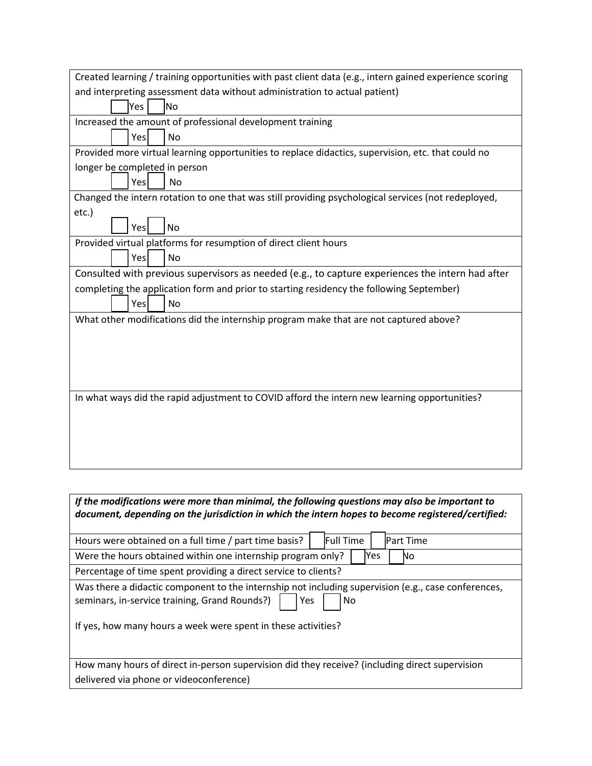| Created learning / training opportunities with past client data (e.g., intern gained experience scoring |  |  |  |  |  |  |  |
|---------------------------------------------------------------------------------------------------------|--|--|--|--|--|--|--|
| and interpreting assessment data without administration to actual patient)                              |  |  |  |  |  |  |  |
| lYes l<br>lNo                                                                                           |  |  |  |  |  |  |  |
| Increased the amount of professional development training                                               |  |  |  |  |  |  |  |
| Yes<br><b>No</b>                                                                                        |  |  |  |  |  |  |  |
| Provided more virtual learning opportunities to replace didactics, supervision, etc. that could no      |  |  |  |  |  |  |  |
| longer be completed in person                                                                           |  |  |  |  |  |  |  |
| Yesl<br><b>No</b>                                                                                       |  |  |  |  |  |  |  |
| Changed the intern rotation to one that was still providing psychological services (not redeployed,     |  |  |  |  |  |  |  |
| etc.)                                                                                                   |  |  |  |  |  |  |  |
| N <sub>o</sub><br>Yesl                                                                                  |  |  |  |  |  |  |  |
| Provided virtual platforms for resumption of direct client hours                                        |  |  |  |  |  |  |  |
| Yes<br><b>No</b>                                                                                        |  |  |  |  |  |  |  |
| Consulted with previous supervisors as needed (e.g., to capture experiences the intern had after        |  |  |  |  |  |  |  |
| completing the application form and prior to starting residency the following September)                |  |  |  |  |  |  |  |
| Yes<br>No                                                                                               |  |  |  |  |  |  |  |
| What other modifications did the internship program make that are not captured above?                   |  |  |  |  |  |  |  |
|                                                                                                         |  |  |  |  |  |  |  |
|                                                                                                         |  |  |  |  |  |  |  |
|                                                                                                         |  |  |  |  |  |  |  |
|                                                                                                         |  |  |  |  |  |  |  |
| In what ways did the rapid adjustment to COVID afford the intern new learning opportunities?            |  |  |  |  |  |  |  |
|                                                                                                         |  |  |  |  |  |  |  |
|                                                                                                         |  |  |  |  |  |  |  |
|                                                                                                         |  |  |  |  |  |  |  |
|                                                                                                         |  |  |  |  |  |  |  |
|                                                                                                         |  |  |  |  |  |  |  |

| If the modifications were more than minimal, the following questions may also be important to<br>document, depending on the jurisdiction in which the intern hopes to become registered/certified: |                                      |  |  |  |  |
|----------------------------------------------------------------------------------------------------------------------------------------------------------------------------------------------------|--------------------------------------|--|--|--|--|
| Hours were obtained on a full time / part time basis?                                                                                                                                              | <b>Full Time</b><br><b>Part Time</b> |  |  |  |  |
| Were the hours obtained within one internship program only?                                                                                                                                        | Yes<br>No.                           |  |  |  |  |
| Percentage of time spent providing a direct service to clients?                                                                                                                                    |                                      |  |  |  |  |
| Was there a didactic component to the internship not including supervision (e.g., case conferences,<br>seminars, in-service training, Grand Rounds?)<br>Yes<br>No.                                 |                                      |  |  |  |  |
| If yes, how many hours a week were spent in these activities?                                                                                                                                      |                                      |  |  |  |  |
| How many hours of direct in-person supervision did they receive? (including direct supervision                                                                                                     |                                      |  |  |  |  |
| delivered via phone or videoconference)                                                                                                                                                            |                                      |  |  |  |  |